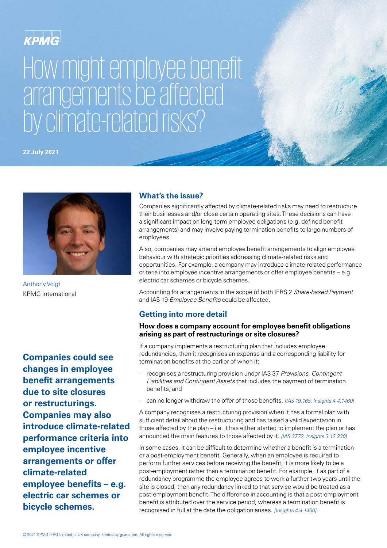## KPMG

# How might employee benefit arrangements be affected by climate-related risks?

**22 July 2021**



Anthony Voigt KPMG International

**Companies could see changes in employee benefit arrangements due to site closures or restructurings. Companies may also introduce climate-related performance criteria into employee incentive arrangements or offer climate-related employee benefits – e.g. electric car schemes or bicycle schemes.**

#### **What's the issue?**

Companies significantly affected by climate-related risks may need to restructure their businesses and/or close certain operating sites. These decisions can have a significant impact on long-term employee obligations (e.g. defined benefit arrangements) and may involve paying termination benefits to large numbers of employees.

Also, companies may amend employee benefit arrangements to align employee behaviour with strategic priorities addressing climate-related risks and opportunities. For example, a company may introduce climate-related performance criteria into employee incentive arrangements or offer employee benefits – e.g. electric car schemes or bicycle schemes.

Accounting for arrangements in the scope of both IFRS 2 *Share-based Payment* and IAS 19 *Employee Benefits* could be affected.

### **Getting into more detail**

#### **How does a company account for employee benefit obligations arising as part of restructurings or site closures?**

If a company implements a restructuring plan that includes employee redundancies, then it recognises an expense and a corresponding liability for termination benefits at the earlier of when it:

- recognises a restructuring provision under IAS 37 *Provisions, Contingent Liabilities and Contingent Assets* that includes the payment of termination benefits; and
- can no longer withdraw the offer of those benefits. *[IAS 19.165, Insights 4.4.1460]*

A company recognises a restructuring provision when it has a formal plan with sufficient detail about the restructuring and has raised a valid expectation in those affected by the plan – i.e. it has either started to implement the plan or has announced the main features to those affected by it. *[IAS 37.72, Insights 3.12.230]*

In some cases, it can be difficult to determine whether a benefit is a termination or a post-employment benefit. Generally, when an employee is required to perform further services before receiving the benefit, it is more likely to be a post-employment rather than a termination benefit. For example, if as part of a redundancy programme the employee agrees to work a further two years until the site is closed, then any redundancy linked to that service would be treated as a post-employment benefit. The difference in accounting is that a post-employment benefit is attributed over the service period, whereas a termination benefit is recognised in full at the date the obligation arises. *[Insights 4.4.1450]*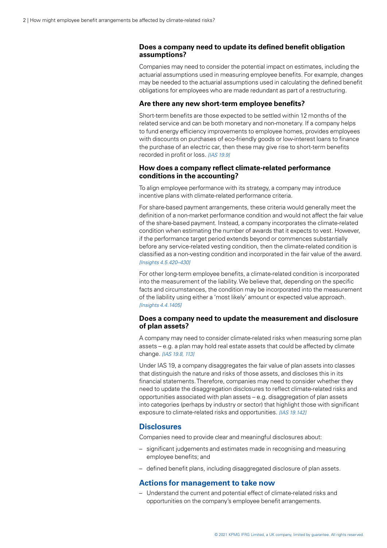#### **Does a company need to update its defined benefit obligation assumptions?**

Companies may need to consider the potential impact on estimates, including the actuarial assumptions used in measuring employee benefits. For example, changes may be needed to the actuarial assumptions used in calculating the defined benefit obligations for employees who are made redundant as part of a restructuring.

#### **Are there any new short-term employee benefits?**

Short-term benefits are those expected to be settled within 12 months of the related service and can be both monetary and non-monetary. If a company helps to fund energy efficiency improvements to employee homes, provides employees with discounts on purchases of eco-friendly goods or low-interest loans to finance the purchase of an electric car, then these may give rise to short-term benefits recorded in profit or loss. *[IAS 19.9]*

#### **How does a company reflect climate-related performance conditions in the accounting?**

To align employee performance with its strategy, a company may introduce incentive plans with climate-related performance criteria.

For share-based payment arrangements, these criteria would generally meet the definition of a non-market performance condition and would not affect the fair value of the share-based payment. Instead, a company incorporates the climate-related condition when estimating the number of awards that it expects to vest. However, if the performance target period extends beyond or commences substantially before any service-related vesting condition, then the climate-related condition is classified as a non-vesting condition and incorporated in the fair value of the award. *[Insights 4.5.420–430]*

For other long-term employee benefits, a climate-related condition is incorporated into the measurement of the liability. We believe that, depending on the specific facts and circumstances, the condition may be incorporated into the measurement of the liability using either a 'most likely' amount or expected value approach. *[Insights 4.4.1405]*

#### **Does a company need to update the measurement and disclosure of plan assets?**

A company may need to consider climate-related risks when measuring some plan assets – e.g. a plan may hold real estate assets that could be affected by climate change. *[IAS 19.8, 113]*

Under IAS 19, a company disaggregates the fair value of plan assets into classes that distinguish the nature and risks of those assets, and discloses this in its financial statements. Therefore, companies may need to consider whether they need to update the disaggregation disclosures to reflect climate-related risks and opportunities associated with plan assets – e.g. disaggregation of plan assets into categories (perhaps by industry or sector) that highlight those with significant exposure to climate-related risks and opportunities. *[IAS 19.142]*

#### **Disclosures**

Companies need to provide clear and meaningful disclosures about:

- significant judgements and estimates made in recognising and measuring employee benefits; and
- defined benefit plans, including disaggregated disclosure of plan assets.

#### **Actions for management to take now**

– Understand the current and potential effect of climate-related risks and opportunities on the company's employee benefit arrangements.